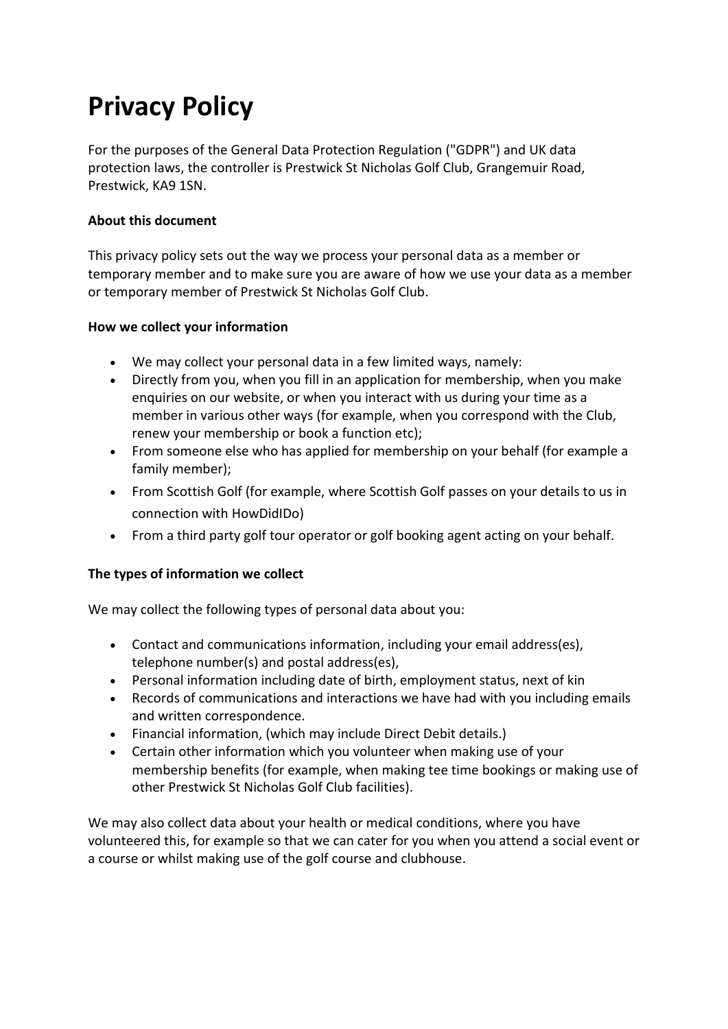# **Privacy Policy**

For the purposes of the General Data Protection Regulation ("GDPR") and UK data protection laws, the controller is Prestwick St Nicholas Golf Club, Grangemuir Road, Prestwick, KA9 1SN.

# **About this document**

This privacy policy sets out the way we process your personal data as a member or temporary member and to make sure you are aware of how we use your data as a member or temporary member of Prestwick St Nicholas Golf Club.

## **How we collect your information**

- We may collect your personal data in a few limited ways, namely:
- Directly from you, when you fill in an application for membership, when you make enquiries on our website, or when you interact with us during your time as a member in various other ways (for example, when you correspond with the Club, renew your membership or book a function etc);
- From someone else who has applied for membership on your behalf (for example a family member);
- From Scottish Golf (for example, where Scottish Golf passes on your details to us in connection with HowDidIDo)
- From a third party golf tour operator or golf booking agent acting on your behalf.

# **The types of information we collect**

We may collect the following types of personal data about you:

- Contact and communications information, including your email address(es), telephone number(s) and postal address(es),
- Personal information including date of birth, employment status, next of kin
- Records of communications and interactions we have had with you including emails and written correspondence.
- Financial information, (which may include Direct Debit details.)
- Certain other information which you volunteer when making use of your membership benefits (for example, when making tee time bookings or making use of other Prestwick St Nicholas Golf Club facilities).

We may also collect data about your health or medical conditions, where you have volunteered this, for example so that we can cater for you when you attend a social event or a course or whilst making use of the golf course and clubhouse.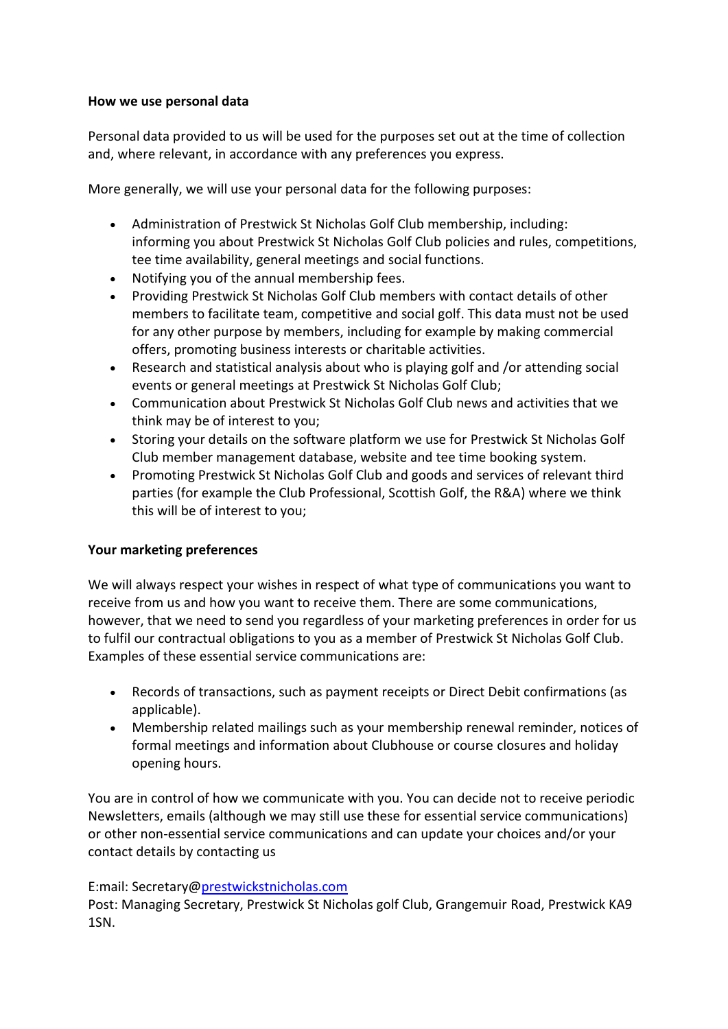## **How we use personal data**

Personal data provided to us will be used for the purposes set out at the time of collection and, where relevant, in accordance with any preferences you express.

More generally, we will use your personal data for the following purposes:

- Administration of Prestwick St Nicholas Golf Club membership, including: informing you about Prestwick St Nicholas Golf Club policies and rules, competitions, tee time availability, general meetings and social functions.
- Notifying you of the annual membership fees.
- Providing Prestwick St Nicholas Golf Club members with contact details of other members to facilitate team, competitive and social golf. This data must not be used for any other purpose by members, including for example by making commercial offers, promoting business interests or charitable activities.
- Research and statistical analysis about who is playing golf and /or attending social events or general meetings at Prestwick St Nicholas Golf Club;
- Communication about Prestwick St Nicholas Golf Club news and activities that we think may be of interest to you;
- Storing your details on the software platform we use for Prestwick St Nicholas Golf Club member management database, website and tee time booking system.
- Promoting Prestwick St Nicholas Golf Club and goods and services of relevant third parties (for example the Club Professional, Scottish Golf, the R&A) where we think this will be of interest to you;

# **Your marketing preferences**

We will always respect your wishes in respect of what type of communications you want to receive from us and how you want to receive them. There are some communications, however, that we need to send you regardless of your marketing preferences in order for us to fulfil our contractual obligations to you as a member of Prestwick St Nicholas Golf Club. Examples of these essential service communications are:

- Records of transactions, such as payment receipts or Direct Debit confirmations (as applicable).
- Membership related mailings such as your membership renewal reminder, notices of formal meetings and information about Clubhouse or course closures and holiday opening hours.

You are in control of how we communicate with you. You can decide not to receive periodic Newsletters, emails (although we may still use these for essential service communications) or other non-essential service communications and can update your choices and/or your contact details by contacting us

# E:mail: Secretary@prestwickstnicholas.com

Post: Managing Secretary, Prestwick St Nicholas golf Club, Grangemuir Road, Prestwick KA9 1SN.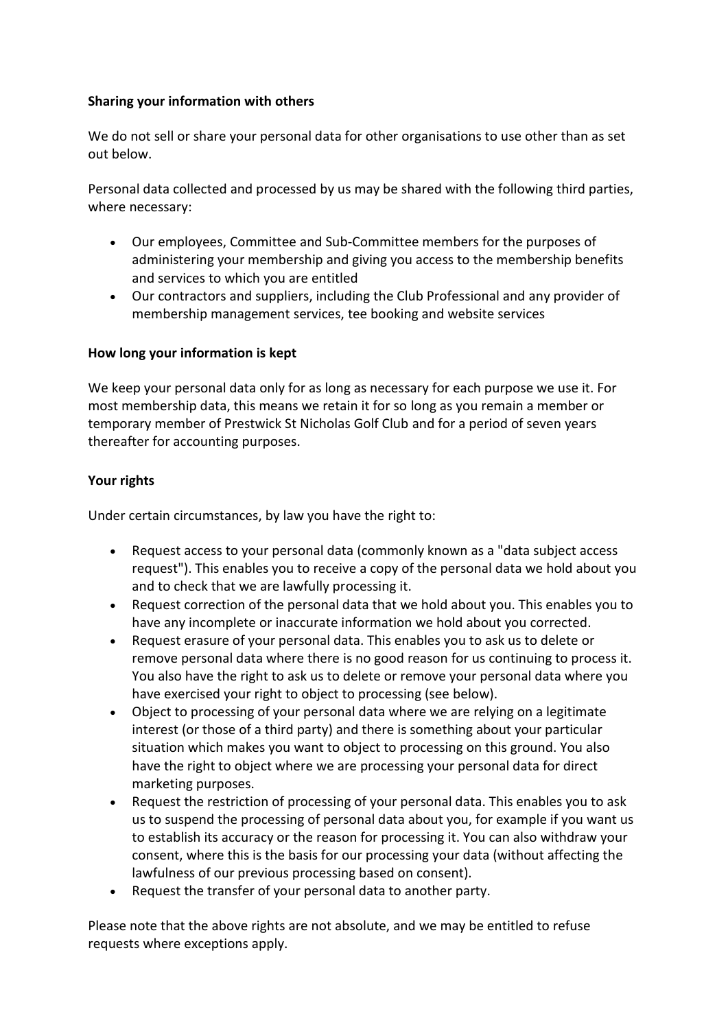## **Sharing your information with others**

We do not sell or share your personal data for other organisations to use other than as set out below.

Personal data collected and processed by us may be shared with the following third parties, where necessary:

- Our employees, Committee and Sub-Committee members for the purposes of administering your membership and giving you access to the membership benefits and services to which you are entitled
- Our contractors and suppliers, including the Club Professional and any provider of membership management services, tee booking and website services

## **How long your information is kept**

We keep your personal data only for as long as necessary for each purpose we use it. For most membership data, this means we retain it for so long as you remain a member or temporary member of Prestwick St Nicholas Golf Club and for a period of seven years thereafter for accounting purposes.

## **Your rights**

Under certain circumstances, by law you have the right to:

- Request access to your personal data (commonly known as a "data subject access request"). This enables you to receive a copy of the personal data we hold about you and to check that we are lawfully processing it.
- Request correction of the personal data that we hold about you. This enables you to have any incomplete or inaccurate information we hold about you corrected.
- Request erasure of your personal data. This enables you to ask us to delete or remove personal data where there is no good reason for us continuing to process it. You also have the right to ask us to delete or remove your personal data where you have exercised your right to object to processing (see below).
- Object to processing of your personal data where we are relying on a legitimate interest (or those of a third party) and there is something about your particular situation which makes you want to object to processing on this ground. You also have the right to object where we are processing your personal data for direct marketing purposes.
- Request the restriction of processing of your personal data. This enables you to ask us to suspend the processing of personal data about you, for example if you want us to establish its accuracy or the reason for processing it. You can also withdraw your consent, where this is the basis for our processing your data (without affecting the lawfulness of our previous processing based on consent).
- Request the transfer of your personal data to another party.

Please note that the above rights are not absolute, and we may be entitled to refuse requests where exceptions apply.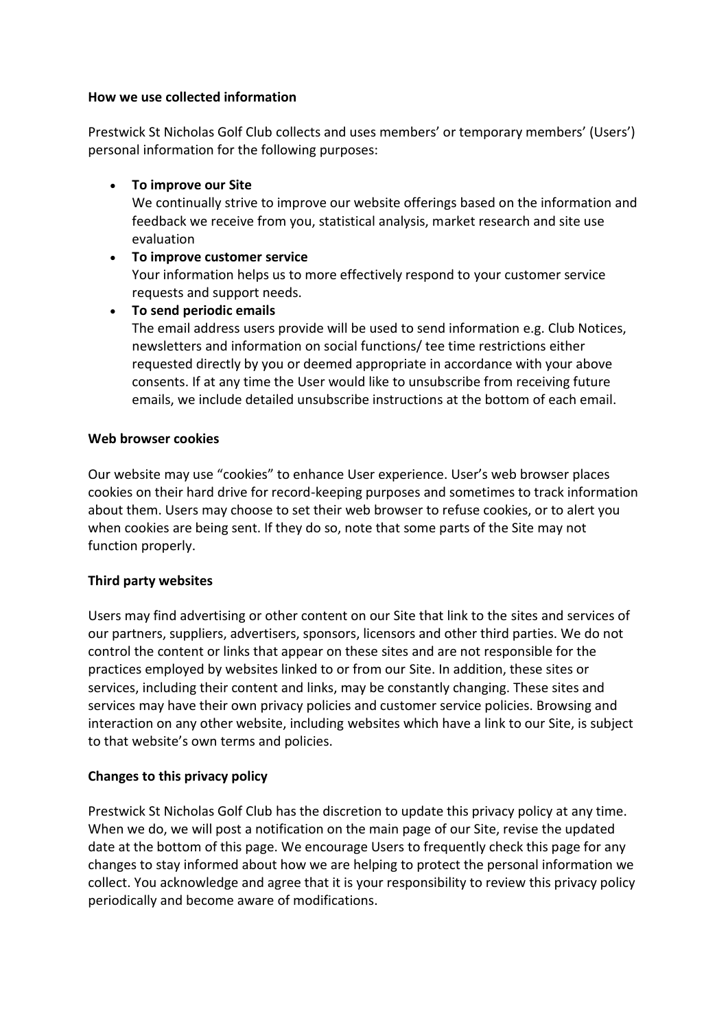#### **How we use collected information**

Prestwick St Nicholas Golf Club collects and uses members' or temporary members' (Users') personal information for the following purposes:

# **To improve our Site**

We continually strive to improve our website offerings based on the information and feedback we receive from you, statistical analysis, market research and site use evaluation

# **To improve customer service**

Your information helps us to more effectively respond to your customer service requests and support needs.

# **To send periodic emails**

The email address users provide will be used to send information e.g. Club Notices, newsletters and information on social functions/ tee time restrictions either requested directly by you or deemed appropriate in accordance with your above consents. If at any time the User would like to unsubscribe from receiving future emails, we include detailed unsubscribe instructions at the bottom of each email.

## **Web browser cookies**

Our website may use "cookies" to enhance User experience. User's web browser places cookies on their hard drive for record-keeping purposes and sometimes to track information about them. Users may choose to set their web browser to refuse cookies, or to alert you when cookies are being sent. If they do so, note that some parts of the Site may not function properly.

# **Third party websites**

Users may find advertising or other content on our Site that link to the sites and services of our partners, suppliers, advertisers, sponsors, licensors and other third parties. We do not control the content or links that appear on these sites and are not responsible for the practices employed by websites linked to or from our Site. In addition, these sites or services, including their content and links, may be constantly changing. These sites and services may have their own privacy policies and customer service policies. Browsing and interaction on any other website, including websites which have a link to our Site, is subject to that website's own terms and policies.

# **Changes to this privacy policy**

Prestwick St Nicholas Golf Club has the discretion to update this privacy policy at any time. When we do, we will post a notification on the main page of our Site, revise the updated date at the bottom of this page. We encourage Users to frequently check this page for any changes to stay informed about how we are helping to protect the personal information we collect. You acknowledge and agree that it is your responsibility to review this privacy policy periodically and become aware of modifications.